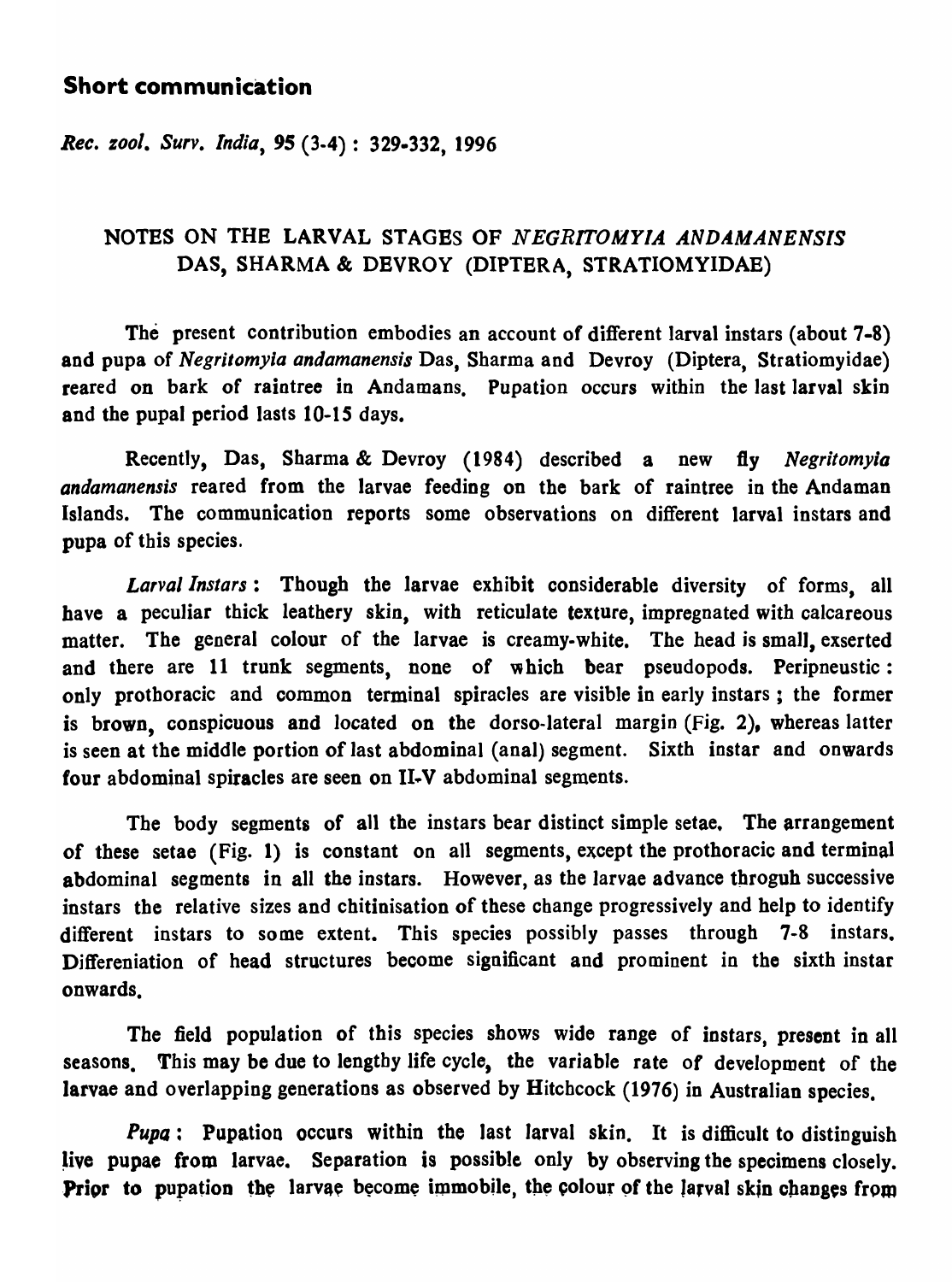## Short communication

*Rec. zool. Surv. India,* 95 (3-4) : 329.332, 1996

## NOTES ON THE LARVAL STAGBS OF *NEGRITOMYIA* ANDAMANENSIS DAS, SHARMA & DEVROY (DIPTERA, STRATIOMYIDAE)

The present contribution embodies an account of different larval instars (about 7-8) and pupa of *Negritomyia andamanensis* Das, Sharma and Devroy (Diptera, Stratiomyidae) reared on bark of raintree in Andamans. Pupation occurs within the last larval skin and the pupal period lasts 10-15 days.

Recently, Das, Sharma & Devroy (1984) described a new fly *Negritomyia andamanensis* reared from the larvae feeding on the bark of raintree in the Andaman Islands. The communication reports some observations on different larval instars and pupa of this species.

*Larval Instars* : Though the larvae exhibit considerable diversity of forms, all have a peculiar thick leathery skin, with reticulate texture, impregnated with calcareous matter. The general colour of the larvae is creamy-white. The head is small, exserted and there are 11 trunk segments, none of which bear pseudopods. Peripneustic: only prothoracic and common terminal spiracles are visible in early instars ; the former is brown, conspicuous and located on the dorso-lateral margin (Fig. 2), whereas latter is seen at the middle portion of last abdominal (anal) segment. Sixth instar and onwards four abdominal spiracles are seen on II-V abdominal segments.

The body segments of all the instars bear distinct simple setae. The arrangement of these setae (Fig. 1) is constant on all segments, except the prothoracic and terminal abdominal segments in all the instars. However, as the larvae advance throguh successive instars the relative sizes and chitinisation of these change progressively and help to identify different instars to some extent. This species possibly passes through 7-8 instars. Differeniation of head structures become significant and prominent in the sixth instar onwards.

The field population of this species shows wide range of instars, present in all seasons. This may be due to lengtby life cycle, the variable rate of development of the larvae and overlapping generations as observed by Hitchcock (1976) in Australian species.

**Pupg:** Pupation occurs within the last larval skin. It is difficult to distinguish live pupae from larvae. Separation is possible only by observing the specimens closely. Prior to pupation the larvae become immobile, the colour of the larval skin changes from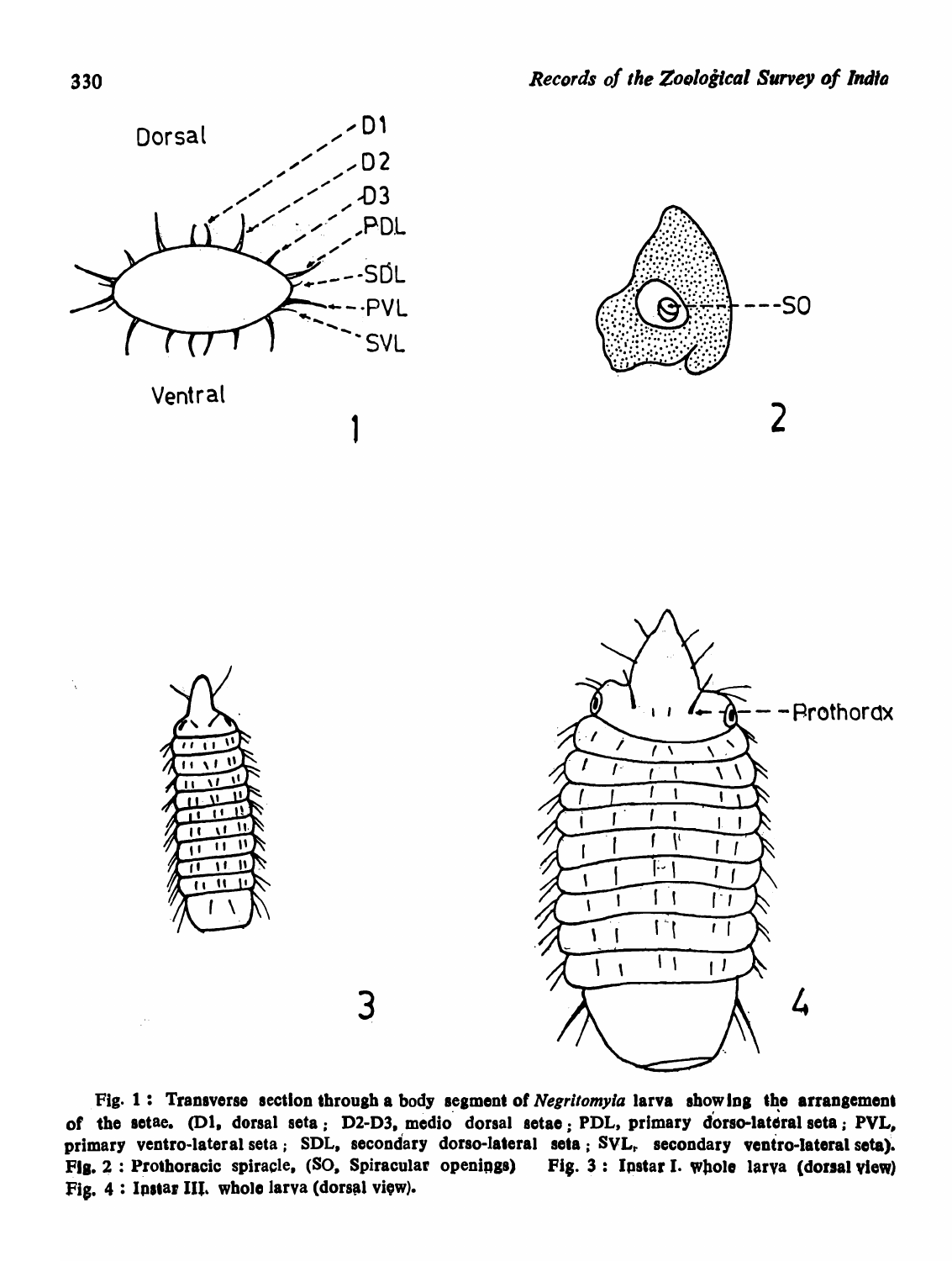

Fig. 1: Transverse section through a body segment of Negritomyia larva showing the arrangement of the setae. (D1, dorsal seta; D2-D3, medio dorsal setae; PDL, primary dorso-lateral seta; PVL, primary ventro-lateral seta; SDL, secondary dorso-lateral seta; SVL, secondary ventro-lateral seta). Fig. 2: Prothoracic spiracle, (SO, Spiracular openings) Fig. 3: Instar I. whole larya (dorsal view) Fig. 4: Instar III. whole larva (dorsal view).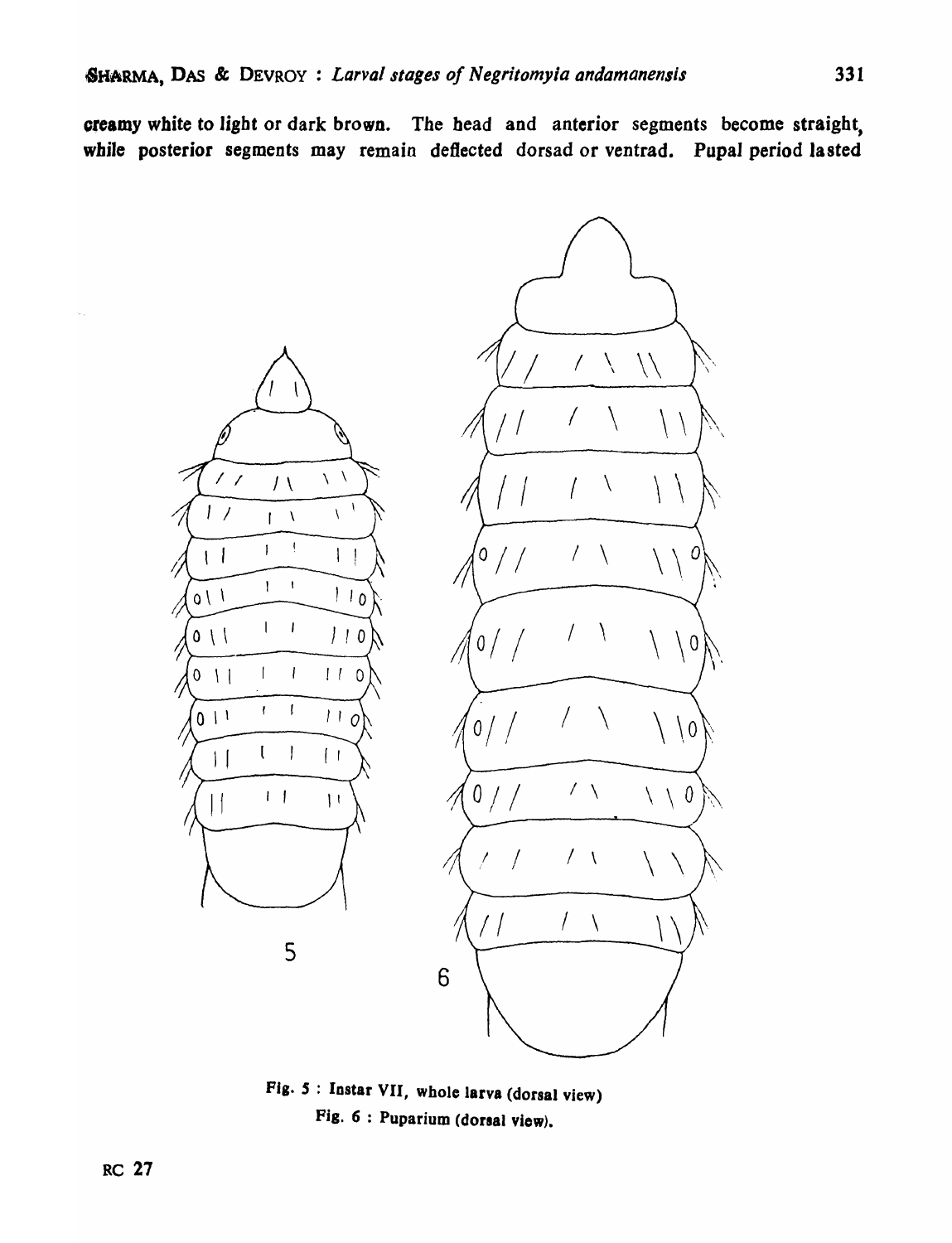oreamy white to light or dark brown. The head and anterior segments become straight, while posterior segments may remain deflected dorsad or ventrad. Pupal period lasted



Fig. S : Instar VII, whole larva (dorsal view) Fig.  $6:$  Puparium (dorsal view).

 $\sim$